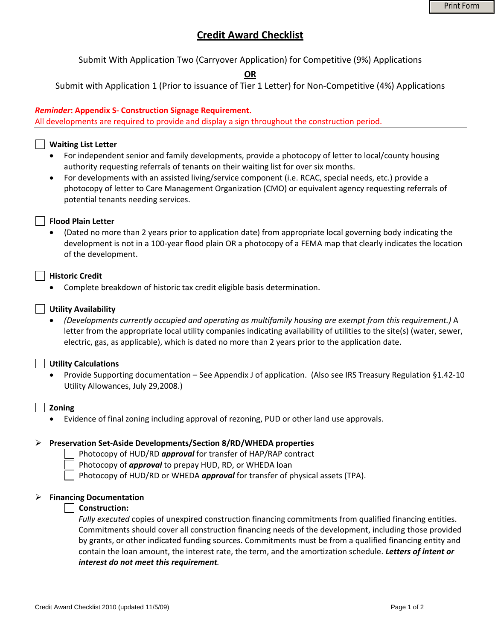# **Credit Award Checklist**

Submit With Application Two (Carryover Application) for Competitive (9%) Applications

**OR**

Submit with Application 1 (Prior to issuance of Tier 1 Letter) for Non‐Competitive (4%) Applications

### *Reminder***: Appendix S‐ Construction Signage Requirement.**

All developments are required to provide and display a sign throughout the construction period.

### **Waiting List Letter**

- For independent senior and family developments, provide a photocopy of letter to local/county housing authority requesting referrals of tenants on their waiting list for over six months.
- For developments with an assisted living/service component (i.e. RCAC, special needs, etc.) provide a photocopy of letter to Care Management Organization (CMO) or equivalent agency requesting referrals of potential tenants needing services.

### **Flood Plain Letter**

• (Dated no more than 2 years prior to application date) from appropriate local governing body indicating the development is not in a 100‐year flood plain OR a photocopy of a FEMA map that clearly indicates the location of the development.

### **Historic Credit**

• Complete breakdown of historic tax credit eligible basis determination.

### **Utility Availability**

• *(Developments currently occupied and operating as multifamily housing are exempt from this requirement.)* A letter from the appropriate local utility companies indicating availability of utilities to the site(s) (water, sewer, electric, gas, as applicable), which is dated no more than 2 years prior to the application date.

#### **Utility Calculations**

• Provide Supporting documentation – See Appendix J of application. (Also see IRS Treasury Regulation §1.42‐10 Utility Allowances, July 29,2008.)

#### **Zoning**

• Evidence of final zoning including approval of rezoning, PUD or other land use approvals.

#### ¾ **Preservation Set‐Aside Developments/Section 8/RD/WHEDA properties**

Photocopy of HUD/RD *approval* for transfer of HAP/RAP contract

- Photocopy of *approval* to prepay HUD, RD, or WHEDA loan
- Photocopy of HUD/RD or WHEDA *approval* for transfer of physical assets (TPA).

#### ¾ **Financing Documentation**

#### **Construction:**

*Fully executed* copies of unexpired construction financing commitments from qualified financing entities. Commitments should cover all construction financing needs of the development, including those provided by grants, or other indicated funding sources. Commitments must be from a qualified financing entity and contain the loan amount, the interest rate, the term, and the amortization schedule. *Letters of intent or interest do not meet this requirement.*